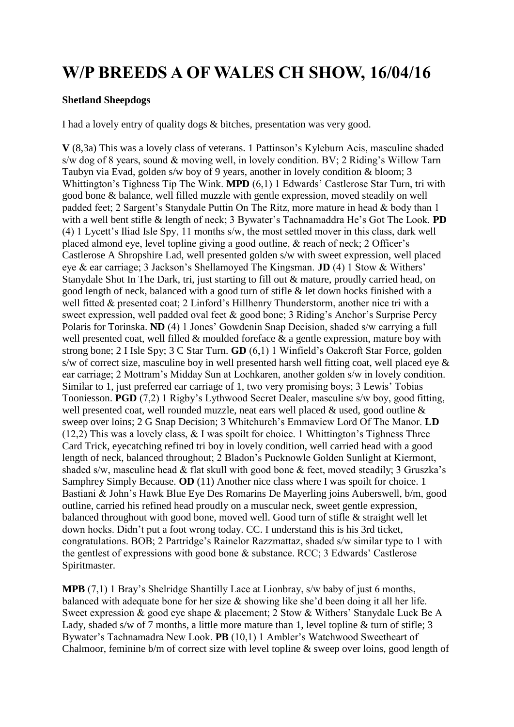## **W/P BREEDS A OF WALES CH SHOW, 16/04/16**

## **Shetland Sheepdogs**

I had a lovely entry of quality dogs & bitches, presentation was very good.

**V** (8,3a) This was a lovely class of veterans. 1 Pattinson's Kyleburn Acis, masculine shaded s/w dog of 8 years, sound & moving well, in lovely condition. BV; 2 Riding's Willow Tarn Taubyn via Evad, golden s/w boy of 9 years, another in lovely condition & bloom; 3 Whittington's Tighness Tip The Wink. **MPD** (6,1) 1 Edwards' Castlerose Star Turn, tri with good bone & balance, well filled muzzle with gentle expression, moved steadily on well padded feet; 2 Sargent's Stanydale Puttin On The Ritz, more mature in head & body than 1 with a well bent stifle & length of neck; 3 Bywater's Tachnamaddra He's Got The Look. **PD** (4) 1 Lycett's Iliad Isle Spy, 11 months s/w, the most settled mover in this class, dark well placed almond eye, level topline giving a good outline, & reach of neck; 2 Officer's Castlerose A Shropshire Lad, well presented golden s/w with sweet expression, well placed eye & ear carriage; 3 Jackson's Shellamoyed The Kingsman. **JD** (4) 1 Stow & Withers' Stanydale Shot In The Dark, tri, just starting to fill out & mature, proudly carried head, on good length of neck, balanced with a good turn of stifle & let down hocks finished with a well fitted & presented coat; 2 Linford's Hillhenry Thunderstorm, another nice tri with a sweet expression, well padded oval feet & good bone; 3 Riding's Anchor's Surprise Percy Polaris for Torinska. **ND** (4) 1 Jones' Gowdenin Snap Decision, shaded s/w carrying a full well presented coat, well filled & moulded foreface & a gentle expression, mature boy with strong bone; 2 I Isle Spy; 3 C Star Turn. **GD** (6,1) 1 Winfield's Oakcroft Star Force, golden s/w of correct size, masculine boy in well presented harsh well fitting coat, well placed eye  $\&$ ear carriage; 2 Mottram's Midday Sun at Lochkaren, another golden s/w in lovely condition. Similar to 1, just preferred ear carriage of 1, two very promising boys; 3 Lewis' Tobias Tooniesson. **PGD** (7,2) 1 Rigby's Lythwood Secret Dealer, masculine s/w boy, good fitting, well presented coat, well rounded muzzle, neat ears well placed & used, good outline & sweep over loins; 2 G Snap Decision; 3 Whitchurch's Emmaview Lord Of The Manor. **LD** (12,2) This was a lovely class, & I was spoilt for choice. 1 Whittington's Tighness Three Card Trick, eyecatching refined tri boy in lovely condition, well carried head with a good length of neck, balanced throughout; 2 Bladon's Pucknowle Golden Sunlight at Kiermont, shaded s/w, masculine head & flat skull with good bone & feet, moved steadily; 3 Gruszka's Samphrey Simply Because. **OD** (11) Another nice class where I was spoilt for choice. 1 Bastiani & John's Hawk Blue Eye Des Romarins De Mayerling joins Auberswell, b/m, good outline, carried his refined head proudly on a muscular neck, sweet gentle expression, balanced throughout with good bone, moved well. Good turn of stifle & straight well let down hocks. Didn't put a foot wrong today. CC. I understand this is his 3rd ticket, congratulations. BOB; 2 Partridge's Rainelor Razzmattaz, shaded s/w similar type to 1 with the gentlest of expressions with good bone & substance. RCC; 3 Edwards' Castlerose Spiritmaster.

**MPB** (7,1) 1 Bray's Shelridge Shantilly Lace at Lionbray, s/w baby of just 6 months, balanced with adequate bone for her size & showing like she'd been doing it all her life. Sweet expression & good eye shape & placement; 2 Stow & Withers' Stanydale Luck Be A Lady, shaded s/w of 7 months, a little more mature than 1, level topline & turn of stifle; 3 Bywater's Tachnamadra New Look. **PB** (10,1) 1 Ambler's Watchwood Sweetheart of Chalmoor, feminine b/m of correct size with level topline & sweep over loins, good length of